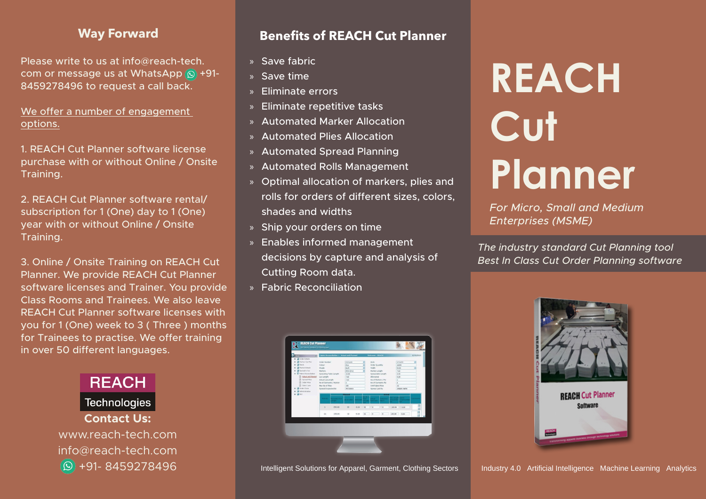### **Way Forward**

Please write to us at info  $\omega$  reach-tech. com or message us at WhatsApp  $\circled{9}$  +91-8459278496 to request a call back.

We offer a number of engagement options.

1. REACH Cut Planner software license purchase with or without Online / Onsite .Training

2. REACH Cut Planner software rental/ subscription for 1 (One) day to 1 (One) year with or without Online / Onsite .Training

3. Online / Onsite Training on REACH Cut Planner. We provide REACH Cut Planner software licenses and Trainer. You provide Class Rooms and Trainees. We also leave REACH Cut Planner software licenses with you for 1 (One) week to 3 (Three) months for Trainees to practise. We offer training in over 50 different languages.



### **Benefits of REACH Cut Planner**

- » Save fabric
- $\overline{\mathsf{S}}$  Save time
- » Fliminate errors
- $\ast$  Eliminate repetitive tasks
- » Automated Marker Allocation
- » Automated Plies Allocation
- » Automated Spread Planning
- » Automated Rolls Management
- » Optimal allocation of markers, plies and rolls for orders of different sizes, colors, shades and widths
- » Ship your orders on time
- » Enables informed management decisions by capture and analysis of Cutting Room data.
- **»** Fabric Reconciliation



# **REACH Cut Planner**

**For Micro, Small and Medium** *(MSME (Enterprises*

**The industry standard Cut Planning tool Best In Class Cut Order Planning software** 



Intelligent Solutions for Apparel, Garment, Clothing Sectors | Industry 4.0 Artificial Intelligence Machine Learning Analytics